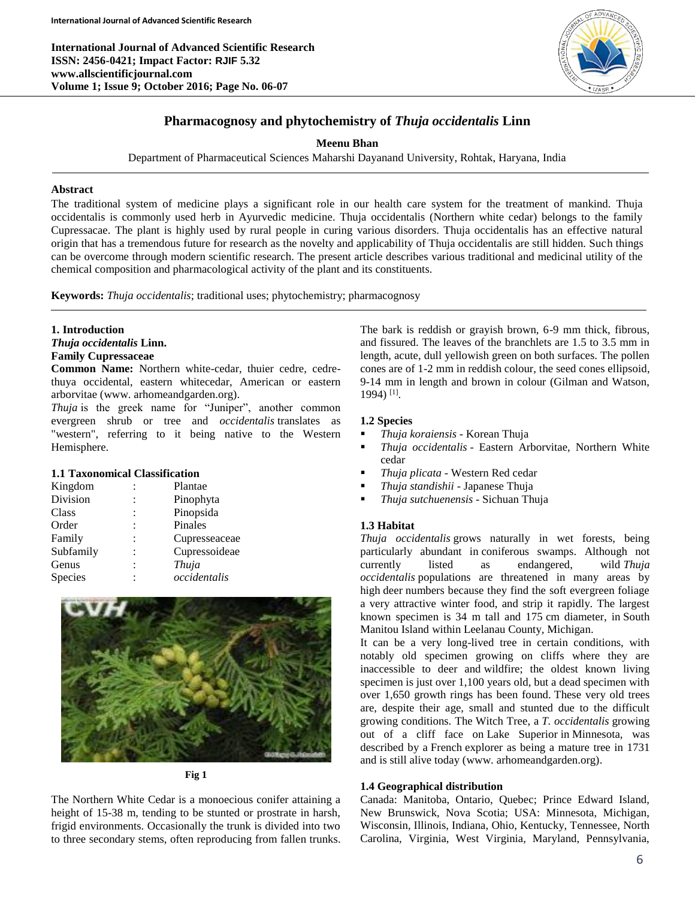**International Journal of Advanced Scientific Research ISSN: 2456-0421; Impact Factor: RJIF 5.32 www.allscientificjournal.com Volume 1; Issue 9; October 2016; Page No. 06-07**



# **Pharmacognosy and phytochemistry of** *Thuja occidentalis* **Linn**

**Meenu Bhan**

Department of Pharmaceutical Sciences Maharshi Dayanand University, Rohtak, Haryana, India

#### **Abstract**

The traditional system of medicine plays a significant role in our health care system for the treatment of mankind. Thuja occidentalis is commonly used herb in Ayurvedic medicine. Thuja occidentalis (Northern white cedar) belongs to the family Cupressacae. The plant is highly used by rural people in curing various disorders. Thuja occidentalis has an effective natural origin that has a tremendous future for research as the novelty and applicability of Thuja occidentalis are still hidden. Such things can be overcome through modern scientific research. The present article describes various traditional and medicinal utility of the chemical composition and pharmacological activity of the plant and its constituents.

**Keywords:** *Thuja occidentalis*; traditional uses; phytochemistry; pharmacognosy

### **1. Introduction**

*Thuja occidentalis* **Linn.**

## **Family Cupressaceae**

**Common Name:** Northern white-cedar, thuier cedre, cedrethuya occidental, eastern whitecedar, American or eastern arborvitae (www. arhomeandgarden.org).

*Thuja* is the greek name for "Juniper", another common evergreen shrub or tree and *occidentalis* translates as "western", referring to it being native to the Western Hemisphere.

#### **1.1 Taxonomical Classification**

|                      | Plantae       |
|----------------------|---------------|
|                      | Pinophyta     |
|                      | Pinopsida     |
| $\ddot{\phantom{0}}$ | Pinales       |
|                      | Cupresseaceae |
|                      | Cupressoideae |
|                      | Thuja         |
|                      | occidentalis  |
|                      |               |



**Fig 1**

The Northern White Cedar is a monoecious conifer attaining a height of 15-38 m, tending to be stunted or prostrate in harsh, frigid environments. Occasionally the trunk is divided into two to three secondary stems, often reproducing from fallen trunks.

The bark is reddish or grayish brown, 6-9 mm thick, fibrous, and fissured. The leaves of the branchlets are 1.5 to 3.5 mm in length, acute, dull yellowish green on both surfaces. The pollen cones are of 1-2 mm in reddish colour, the seed cones ellipsoid, 9-14 mm in length and brown in colour (Gilman and Watson, 1994) [1] .

## **1.2 Species**

- *Thuja koraiensis* Korean Thuja
- *Thuja occidentalis* Eastern Arborvitae, Northern White cedar
- *Thuja plicata* Western Red cedar
- *Thuja standishii* Japanese Thuja
- *Thuja sutchuenensis* Sichuan Thuja

## **1.3 Habitat**

*Thuja occidentalis* grows naturally in wet forests, being particularly abundant in coniferous swamps. Although not currently listed as endangered, wild *Thuja occidentalis* populations are threatened in many areas by high deer numbers because they find the soft evergreen foliage a very attractive winter food, and strip it rapidly. The largest known specimen is 34 m tall and 175 cm diameter, in South Manitou Island within Leelanau County, Michigan.

It can be a very long-lived tree in certain conditions, with notably old specimen growing on cliffs where they are inaccessible to deer and wildfire; the oldest known living specimen is just over 1,100 years old, but a dead specimen with over 1,650 growth rings has been found. These very old trees are, despite their age, small and stunted due to the difficult growing conditions. The Witch Tree, a *T. occidentalis* growing out of a cliff face on Lake Superior in Minnesota, was described by a French explorer as being a mature tree in 1731 and is still alive today (www. arhomeandgarden.org).

## **1.4 Geographical distribution**

Canada: Manitoba, Ontario, Quebec; Prince Edward Island, New Brunswick, Nova Scotia; USA: Minnesota, Michigan, Wisconsin, Illinois, Indiana, Ohio, Kentucky, Tennessee, North Carolina, Virginia, West Virginia, Maryland, Pennsylvania,